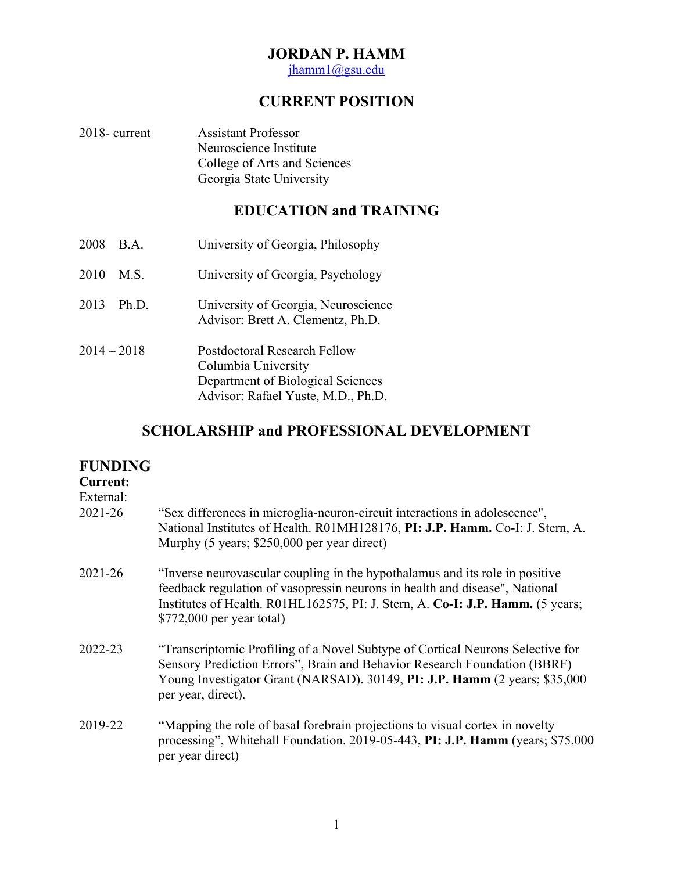## **JORDAN P. HAMM**

jhamm1@gsu.edu

# **CURRENT POSITION**

| $2018$ - current | <b>Assistant Professor</b>   |
|------------------|------------------------------|
|                  | Neuroscience Institute       |
|                  | College of Arts and Sciences |
|                  | Georgia State University     |

# **EDUCATION and TRAINING**

| 2008          | $\mathbf{B} \cdot \mathbf{A}$ . | University of Georgia, Philosophy                                                                                              |
|---------------|---------------------------------|--------------------------------------------------------------------------------------------------------------------------------|
| 2010          | M.S.                            | University of Georgia, Psychology                                                                                              |
| 2013          | Ph.D.                           | University of Georgia, Neuroscience<br>Advisor: Brett A. Clementz, Ph.D.                                                       |
| $2014 - 2018$ |                                 | Postdoctoral Research Fellow<br>Columbia University<br>Department of Biological Sciences<br>Advisor: Rafael Yuste, M.D., Ph.D. |

## **SCHOLARSHIP and PROFESSIONAL DEVELOPMENT**

## **FUNDING**

## **Current:**

External:

| 2021-26 | "Sex differences in microglia-neuron-circuit interactions in adolescence",<br>National Institutes of Health. R01MH128176, PI: J.P. Hamm. Co-I: J. Stern, A.<br>Murphy (5 years; \$250,000 per year direct)                                                                  |
|---------|-----------------------------------------------------------------------------------------------------------------------------------------------------------------------------------------------------------------------------------------------------------------------------|
| 2021-26 | "Inverse neurovascular coupling in the hypothalamus and its role in positive<br>feedback regulation of vasopressin neurons in health and disease", National<br>Institutes of Health. R01HL162575, PI: J. Stern, A. Co-I: J.P. Hamm. (5 years;<br>$$772,000$ per year total) |
| 2022-23 | "Transcriptomic Profiling of a Novel Subtype of Cortical Neurons Selective for<br>Sensory Prediction Errors", Brain and Behavior Research Foundation (BBRF)<br>Young Investigator Grant (NARSAD). 30149, PI: J.P. Hamm (2 years; \$35,000<br>per year, direct).             |
| 2019-22 | "Mapping the role of basal forebrain projections to visual cortex in novelty<br>processing", Whitehall Foundation. 2019-05-443, PI: J.P. Hamm (years; \$75,000)<br>per year direct)                                                                                         |
|         |                                                                                                                                                                                                                                                                             |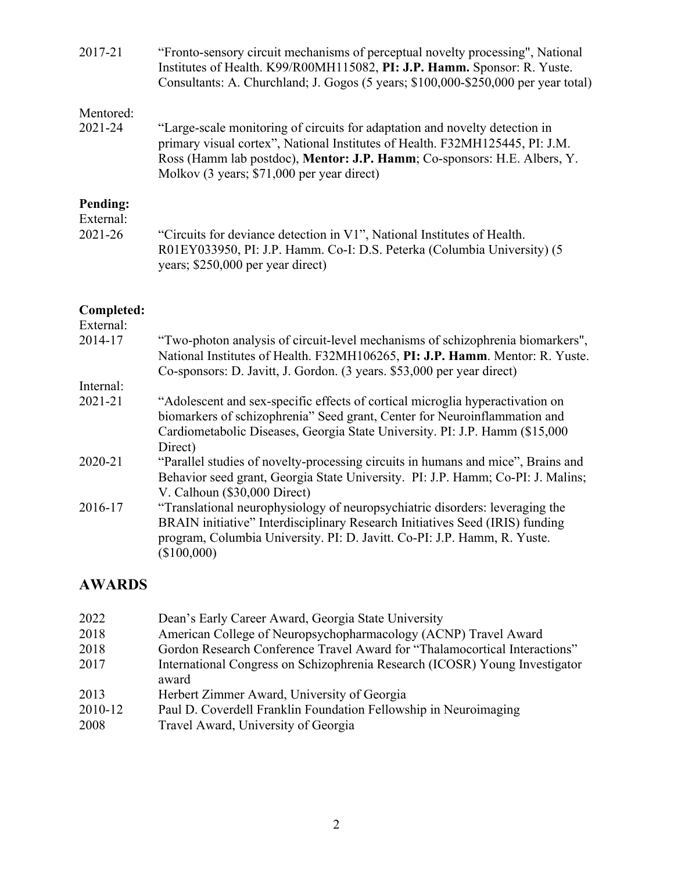| "Fronto-sensory circuit mechanisms of perceptual novelty processing", National<br>Institutes of Health. K99/R00MH115082, PI: J.P. Hamm. Sponsor: R. Yuste.<br>Consultants: A. Churchland; J. Gogos (5 years; \$100,000-\$250,000 per year total)                                              |
|-----------------------------------------------------------------------------------------------------------------------------------------------------------------------------------------------------------------------------------------------------------------------------------------------|
|                                                                                                                                                                                                                                                                                               |
| "Large-scale monitoring of circuits for adaptation and novelty detection in<br>primary visual cortex", National Institutes of Health. F32MH125445, PI: J.M.<br>Ross (Hamm lab postdoc), <b>Mentor: J.P. Hamm</b> ; Co-sponsors: H.E. Albers, Y.<br>Molkov (3 years; \$71,000 per year direct) |
|                                                                                                                                                                                                                                                                                               |
|                                                                                                                                                                                                                                                                                               |
| "Circuits for deviance detection in V1", National Institutes of Health.<br>R01EY033950, PI: J.P. Hamm. Co-I: D.S. Peterka (Columbia University) (5<br>years; \$250,000 per year direct)                                                                                                       |
|                                                                                                                                                                                                                                                                                               |

# **Completed:**

| "Two-photon analysis of circuit-level mechanisms of schizophrenia biomarkers",<br>National Institutes of Health. F32MH106265, PI: J.P. Hamm. Mentor: R. Yuste. |
|----------------------------------------------------------------------------------------------------------------------------------------------------------------|
|                                                                                                                                                                |
|                                                                                                                                                                |
|                                                                                                                                                                |
|                                                                                                                                                                |
| "Adolescent and sex-specific effects of cortical microglia hyperactivation on                                                                                  |
| biomarkers of schizophrenia" Seed grant, Center for Neuroinflammation and                                                                                      |
| Cardiometabolic Diseases, Georgia State University. PI: J.P. Hamm (\$15,000)                                                                                   |
|                                                                                                                                                                |
| "Parallel studies of novelty-processing circuits in humans and mice", Brains and                                                                               |
| Behavior seed grant, Georgia State University. PI: J.P. Hamm; Co-PI: J. Malins;                                                                                |
|                                                                                                                                                                |
| "Translational neurophysiology of neuropsychiatric disorders: leveraging the                                                                                   |
| BRAIN initiative" Interdisciplinary Research Initiatives Seed (IRIS) funding                                                                                   |
|                                                                                                                                                                |
|                                                                                                                                                                |
| program, Columbia University. PI: D. Javitt. Co-PI: J.P. Hamm, R. Yuste.                                                                                       |

# **AWARDS**

| 2022    | Dean's Early Career Award, Georgia State University                                  |
|---------|--------------------------------------------------------------------------------------|
| 2018    | American College of Neuropsychopharmacology (ACNP) Travel Award                      |
| 2018    | Gordon Research Conference Travel Award for "Thalamocortical Interactions"           |
| 2017    | International Congress on Schizophrenia Research (ICOSR) Young Investigator<br>award |
| 2013    | Herbert Zimmer Award, University of Georgia                                          |
| 2010-12 | Paul D. Coverdell Franklin Foundation Fellowship in Neuroimaging                     |
| 2008    | Travel Award, University of Georgia                                                  |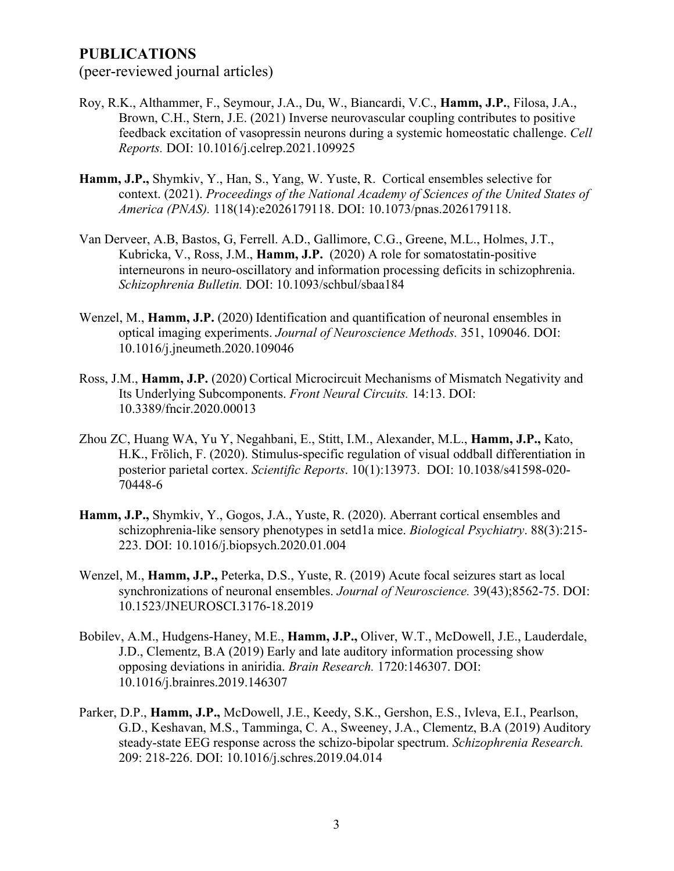## **PUBLICATIONS**

(peer-reviewed journal articles)

- Roy, R.K., Althammer, F., Seymour, J.A., Du, W., Biancardi, V.C., **Hamm, J.P.**, Filosa, J.A., Brown, C.H., Stern, J.E. (2021) Inverse neurovascular coupling contributes to positive feedback excitation of vasopressin neurons during a systemic homeostatic challenge. *Cell Reports.* DOI: 10.1016/j.celrep.2021.109925
- **Hamm, J.P.,** Shymkiv, Y., Han, S., Yang, W. Yuste, R. Cortical ensembles selective for context. (2021). *Proceedings of the National Academy of Sciences of the United States of America (PNAS).* 118(14):e2026179118. DOI: 10.1073/pnas.2026179118.
- Van Derveer, A.B, Bastos, G, Ferrell. A.D., Gallimore, C.G., Greene, M.L., Holmes, J.T., Kubricka, V., Ross, J.M., **Hamm, J.P.** (2020) A role for somatostatin-positive interneurons in neuro-oscillatory and information processing deficits in schizophrenia. *Schizophrenia Bulletin.* DOI: 10.1093/schbul/sbaa184
- Wenzel, M., **Hamm, J.P.** (2020) Identification and quantification of neuronal ensembles in optical imaging experiments. *Journal of Neuroscience Methods.* 351, 109046. DOI: 10.1016/j.jneumeth.2020.109046
- Ross, J.M., **Hamm, J.P.** (2020) Cortical Microcircuit Mechanisms of Mismatch Negativity and Its Underlying Subcomponents. *Front Neural Circuits.* 14:13. DOI: 10.3389/fncir.2020.00013
- Zhou ZC, Huang WA, Yu Y, Negahbani, E., Stitt, I.M., Alexander, M.L., **Hamm, J.P.,** Kato, H.K., Frölich, F. (2020). Stimulus-specific regulation of visual oddball differentiation in posterior parietal cortex. *Scientific Reports*. 10(1):13973. DOI: 10.1038/s41598-020- 70448-6
- **Hamm, J.P.,** Shymkiv, Y., Gogos, J.A., Yuste, R. (2020). Aberrant cortical ensembles and schizophrenia-like sensory phenotypes in setd1a mice. *Biological Psychiatry*. 88(3):215- 223. DOI: 10.1016/j.biopsych.2020.01.004
- Wenzel, M., **Hamm, J.P.,** Peterka, D.S., Yuste, R. (2019) Acute focal seizures start as local synchronizations of neuronal ensembles. *Journal of Neuroscience.* 39(43);8562-75. DOI: 10.1523/JNEUROSCI.3176-18.2019
- Bobilev, A.M., Hudgens-Haney, M.E., **Hamm, J.P.,** Oliver, W.T., McDowell, J.E., Lauderdale, J.D., Clementz, B.A (2019) Early and late auditory information processing show opposing deviations in aniridia. *Brain Research.* 1720:146307. DOI: 10.1016/j.brainres.2019.146307
- Parker, D.P., **Hamm, J.P.,** McDowell, J.E., Keedy, S.K., Gershon, E.S., Ivleva, E.I., Pearlson, G.D., Keshavan, M.S., Tamminga, C. A., Sweeney, J.A., Clementz, B.A (2019) Auditory steady-state EEG response across the schizo-bipolar spectrum. *Schizophrenia Research.*  209: 218-226. DOI: 10.1016/j.schres.2019.04.014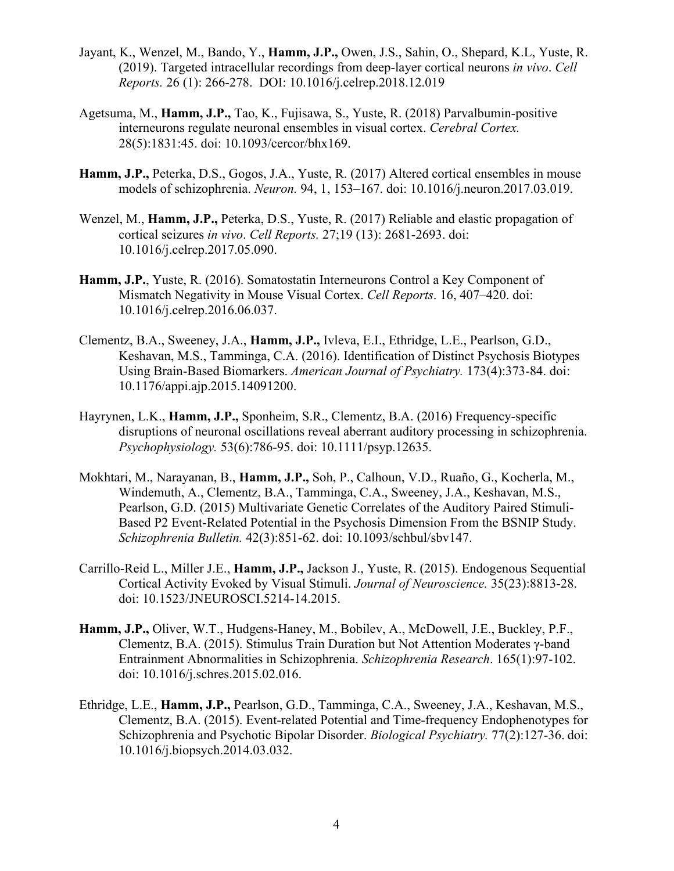- Jayant, K., Wenzel, M., Bando, Y., **Hamm, J.P.,** Owen, J.S., Sahin, O., Shepard, K.L, Yuste, R. (2019). Targeted intracellular recordings from deep-layer cortical neurons *in vivo*. *Cell Reports.* 26 (1): 266-278. DOI: 10.1016/j.celrep.2018.12.019
- Agetsuma, M., **Hamm, J.P.,** Tao, K., Fujisawa, S., Yuste, R. (2018) Parvalbumin-positive interneurons regulate neuronal ensembles in visual cortex. *Cerebral Cortex.* 28(5):1831:45. doi: 10.1093/cercor/bhx169.
- **Hamm, J.P.,** Peterka, D.S., Gogos, J.A., Yuste, R. (2017) Altered cortical ensembles in mouse models of schizophrenia. *Neuron.* 94, 1, 153–167. doi: 10.1016/j.neuron.2017.03.019.
- Wenzel, M., **Hamm, J.P.,** Peterka, D.S., Yuste, R. (2017) Reliable and elastic propagation of cortical seizures *in vivo*. *Cell Reports.* 27;19 (13): 2681-2693. doi: 10.1016/j.celrep.2017.05.090.
- **Hamm, J.P.**, Yuste, R. (2016). Somatostatin Interneurons Control a Key Component of Mismatch Negativity in Mouse Visual Cortex. *Cell Reports*. 16, 407–420. doi: 10.1016/j.celrep.2016.06.037.
- Clementz, B.A., Sweeney, J.A., **Hamm, J.P.,** Ivleva, E.I., Ethridge, L.E., Pearlson, G.D., Keshavan, M.S., Tamminga, C.A. (2016). Identification of Distinct Psychosis Biotypes Using Brain-Based Biomarkers. *American Journal of Psychiatry.* 173(4):373-84. doi: 10.1176/appi.ajp.2015.14091200.
- Hayrynen, L.K., **Hamm, J.P.,** Sponheim, S.R., Clementz, B.A. (2016) Frequency-specific disruptions of neuronal oscillations reveal aberrant auditory processing in schizophrenia. *Psychophysiology.* 53(6):786-95. doi: 10.1111/psyp.12635.
- Mokhtari, M., Narayanan, B., **Hamm, J.P.,** Soh, P., Calhoun, V.D., Ruaño, G., Kocherla, M., Windemuth, A., Clementz, B.A., Tamminga, C.A., Sweeney, J.A., Keshavan, M.S., Pearlson, G.D. (2015) Multivariate Genetic Correlates of the Auditory Paired Stimuli-Based P2 Event-Related Potential in the Psychosis Dimension From the BSNIP Study. *Schizophrenia Bulletin.* 42(3):851-62. doi: 10.1093/schbul/sbv147.
- Carrillo-Reid L., Miller J.E., **Hamm, J.P.,** Jackson J., Yuste, R. (2015). Endogenous Sequential Cortical Activity Evoked by Visual Stimuli. *Journal of Neuroscience.* 35(23):8813-28. doi: 10.1523/JNEUROSCI.5214-14.2015.
- **Hamm, J.P.,** Oliver, W.T., Hudgens-Haney, M., Bobilev, A., McDowell, J.E., Buckley, P.F., Clementz, B.A. (2015). Stimulus Train Duration but Not Attention Moderates γ-band Entrainment Abnormalities in Schizophrenia. *Schizophrenia Research*. 165(1):97-102. doi: 10.1016/j.schres.2015.02.016.
- Ethridge, L.E., **Hamm, J.P.,** Pearlson, G.D., Tamminga, C.A., Sweeney, J.A., Keshavan, M.S., Clementz, B.A. (2015). Event-related Potential and Time-frequency Endophenotypes for Schizophrenia and Psychotic Bipolar Disorder. *Biological Psychiatry.* 77(2):127-36. doi: 10.1016/j.biopsych.2014.03.032.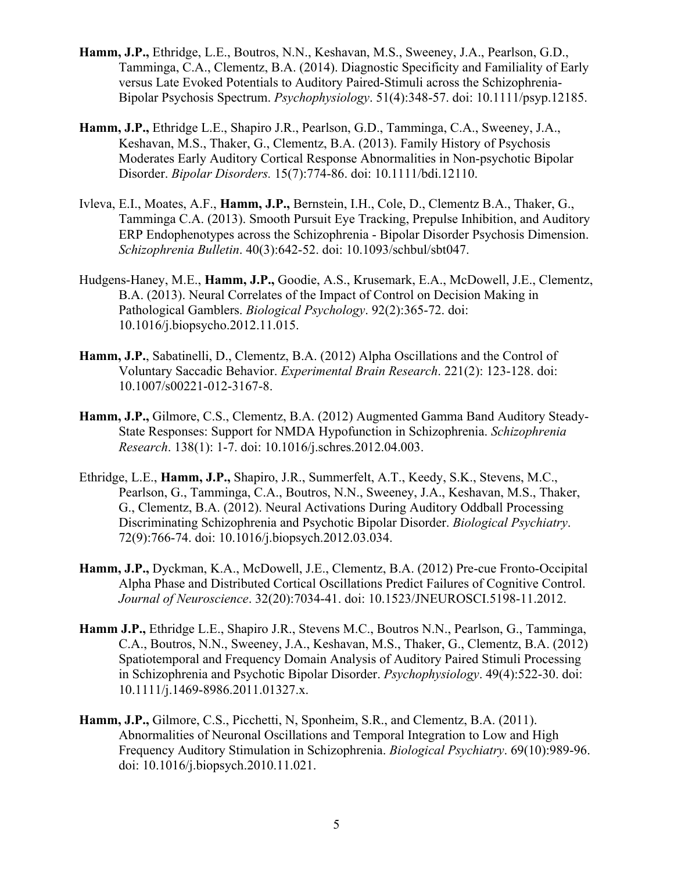- **Hamm, J.P.,** Ethridge, L.E., Boutros, N.N., Keshavan, M.S., Sweeney, J.A., Pearlson, G.D., Tamminga, C.A., Clementz, B.A. (2014). Diagnostic Specificity and Familiality of Early versus Late Evoked Potentials to Auditory Paired-Stimuli across the Schizophrenia-Bipolar Psychosis Spectrum. *Psychophysiology*. 51(4):348-57. doi: 10.1111/psyp.12185.
- **Hamm, J.P.,** Ethridge L.E., Shapiro J.R., Pearlson, G.D., Tamminga, C.A., Sweeney, J.A., Keshavan, M.S., Thaker, G., Clementz, B.A. (2013). Family History of Psychosis Moderates Early Auditory Cortical Response Abnormalities in Non-psychotic Bipolar Disorder. *Bipolar Disorders.* 15(7):774-86. doi: 10.1111/bdi.12110.
- Ivleva, E.I., Moates, A.F., **Hamm, J.P.,** Bernstein, I.H., Cole, D., Clementz B.A., Thaker, G., Tamminga C.A. (2013). Smooth Pursuit Eye Tracking, Prepulse Inhibition, and Auditory ERP Endophenotypes across the Schizophrenia - Bipolar Disorder Psychosis Dimension. *Schizophrenia Bulletin*. 40(3):642-52. doi: 10.1093/schbul/sbt047.
- Hudgens-Haney, M.E., **Hamm, J.P.,** Goodie, A.S., Krusemark, E.A., McDowell, J.E., Clementz, B.A. (2013). Neural Correlates of the Impact of Control on Decision Making in Pathological Gamblers. *Biological Psychology*. 92(2):365-72. doi: 10.1016/j.biopsycho.2012.11.015.
- **Hamm, J.P.**, Sabatinelli, D., Clementz, B.A. (2012) Alpha Oscillations and the Control of Voluntary Saccadic Behavior. *Experimental Brain Research*. 221(2): 123-128. doi: 10.1007/s00221-012-3167-8.
- **Hamm, J.P.,** Gilmore, C.S., Clementz, B.A. (2012) Augmented Gamma Band Auditory Steady-State Responses: Support for NMDA Hypofunction in Schizophrenia. *Schizophrenia Research*. 138(1): 1-7. doi: 10.1016/j.schres.2012.04.003.
- Ethridge, L.E., **Hamm, J.P.,** Shapiro, J.R., Summerfelt, A.T., Keedy, S.K., Stevens, M.C., Pearlson, G., Tamminga, C.A., Boutros, N.N., Sweeney, J.A., Keshavan, M.S., Thaker, G., Clementz, B.A. (2012). Neural Activations During Auditory Oddball Processing Discriminating Schizophrenia and Psychotic Bipolar Disorder. *Biological Psychiatry*. 72(9):766-74. doi: 10.1016/j.biopsych.2012.03.034.
- **Hamm, J.P.,** Dyckman, K.A., McDowell, J.E., Clementz, B.A. (2012) Pre-cue Fronto-Occipital Alpha Phase and Distributed Cortical Oscillations Predict Failures of Cognitive Control. *Journal of Neuroscience*. 32(20):7034-41. doi: 10.1523/JNEUROSCI.5198-11.2012.
- **Hamm J.P.,** Ethridge L.E., Shapiro J.R., Stevens M.C., Boutros N.N., Pearlson, G., Tamminga, C.A., Boutros, N.N., Sweeney, J.A., Keshavan, M.S., Thaker, G., Clementz, B.A. (2012) Spatiotemporal and Frequency Domain Analysis of Auditory Paired Stimuli Processing in Schizophrenia and Psychotic Bipolar Disorder. *Psychophysiology*. 49(4):522-30. doi: 10.1111/j.1469-8986.2011.01327.x.
- **Hamm, J.P.,** Gilmore, C.S., Picchetti, N, Sponheim, S.R., and Clementz, B.A. (2011). Abnormalities of Neuronal Oscillations and Temporal Integration to Low and High Frequency Auditory Stimulation in Schizophrenia. *Biological Psychiatry*. 69(10):989-96. doi: 10.1016/j.biopsych.2010.11.021.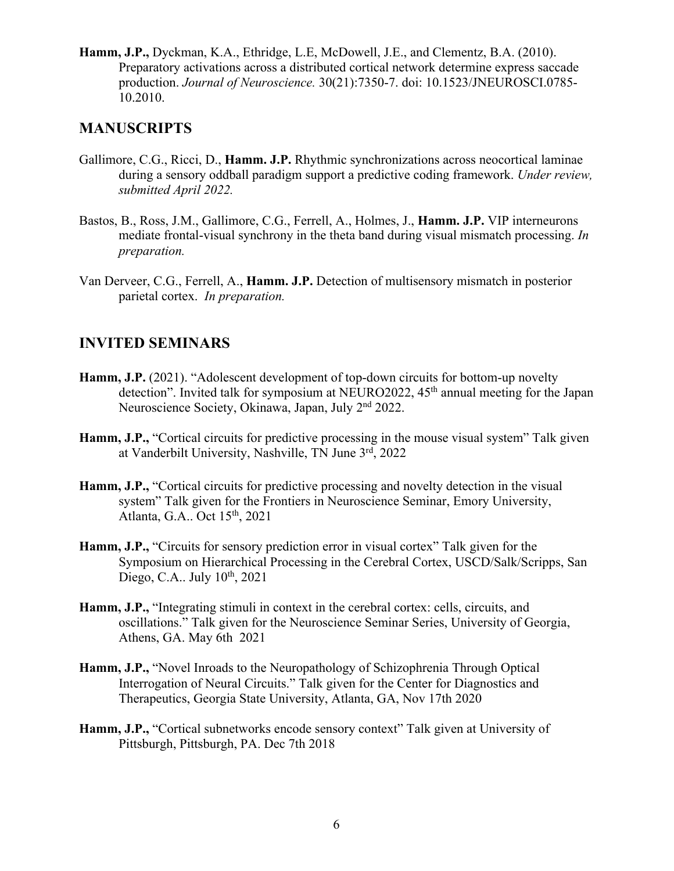**Hamm, J.P.,** Dyckman, K.A., Ethridge, L.E, McDowell, J.E., and Clementz, B.A. (2010). Preparatory activations across a distributed cortical network determine express saccade production. *Journal of Neuroscience.* 30(21):7350-7. doi: 10.1523/JNEUROSCI.0785- 10.2010.

## **MANUSCRIPTS**

- Gallimore, C.G., Ricci, D., **Hamm. J.P.** Rhythmic synchronizations across neocortical laminae during a sensory oddball paradigm support a predictive coding framework. *Under review, submitted April 2022.*
- Bastos, B., Ross, J.M., Gallimore, C.G., Ferrell, A., Holmes, J., **Hamm. J.P.** VIP interneurons mediate frontal-visual synchrony in the theta band during visual mismatch processing. *In preparation.*
- Van Derveer, C.G., Ferrell, A., **Hamm. J.P.** Detection of multisensory mismatch in posterior parietal cortex. *In preparation.*

## **INVITED SEMINARS**

- **Hamm, J.P.** (2021). "Adolescent development of top-down circuits for bottom-up novelty detection". Invited talk for symposium at NEURO2022, 45<sup>th</sup> annual meeting for the Japan Neuroscience Society, Okinawa, Japan, July 2nd 2022.
- **Hamm, J.P.,** "Cortical circuits for predictive processing in the mouse visual system" Talk given at Vanderbilt University, Nashville, TN June 3rd, 2022
- **Hamm, J.P.,** "Cortical circuits for predictive processing and novelty detection in the visual system" Talk given for the Frontiers in Neuroscience Seminar, Emory University, Atlanta, G.A.. Oct 15th, 2021
- **Hamm, J.P.,** "Circuits for sensory prediction error in visual cortex" Talk given for the Symposium on Hierarchical Processing in the Cerebral Cortex, USCD/Salk/Scripps, San Diego, C.A.. July  $10^{th}$ , 2021
- **Hamm, J.P.,** "Integrating stimuli in context in the cerebral cortex: cells, circuits, and oscillations." Talk given for the Neuroscience Seminar Series, University of Georgia, Athens, GA. May 6th 2021
- **Hamm, J.P.,** "Novel Inroads to the Neuropathology of Schizophrenia Through Optical Interrogation of Neural Circuits." Talk given for the Center for Diagnostics and Therapeutics, Georgia State University, Atlanta, GA, Nov 17th 2020
- **Hamm, J.P.,** "Cortical subnetworks encode sensory context" Talk given at University of Pittsburgh, Pittsburgh, PA. Dec 7th 2018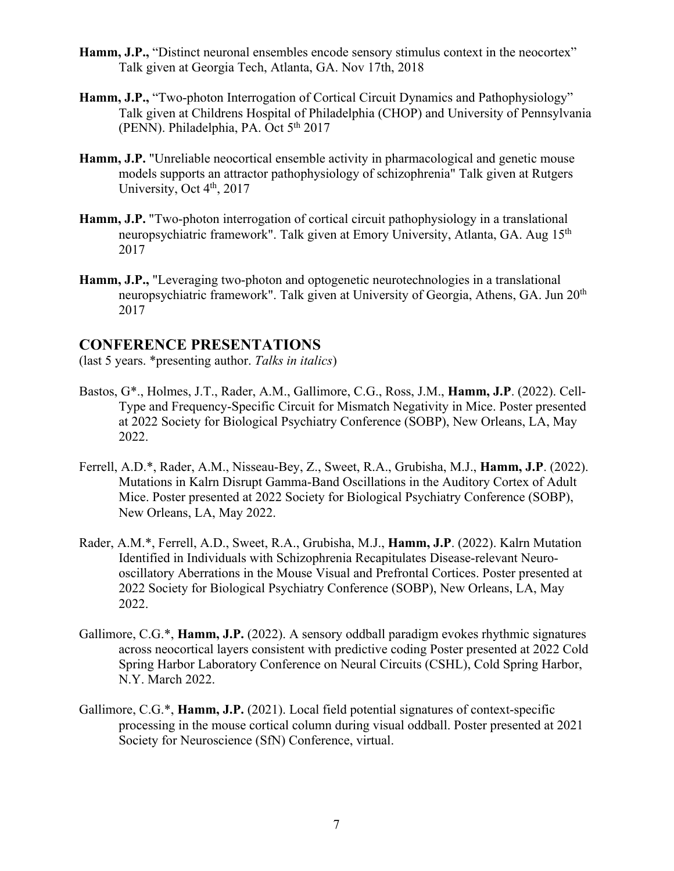- Hamm, J.P., "Distinct neuronal ensembles encode sensory stimulus context in the neocortex" Talk given at Georgia Tech, Atlanta, GA. Nov 17th, 2018
- **Hamm, J.P.,** "Two-photon Interrogation of Cortical Circuit Dynamics and Pathophysiology" Talk given at Childrens Hospital of Philadelphia (CHOP) and University of Pennsylvania (PENN). Philadelphia, PA. Oct 5<sup>th</sup> 2017
- **Hamm, J.P.** "Unreliable neocortical ensemble activity in pharmacological and genetic mouse models supports an attractor pathophysiology of schizophrenia" Talk given at Rutgers University, Oct  $4<sup>th</sup>$ , 2017
- **Hamm, J.P.** "Two-photon interrogation of cortical circuit pathophysiology in a translational neuropsychiatric framework". Talk given at Emory University, Atlanta, GA. Aug 15<sup>th</sup> 2017
- **Hamm, J.P.,** "Leveraging two-photon and optogenetic neurotechnologies in a translational neuropsychiatric framework". Talk given at University of Georgia, Athens, GA. Jun 20<sup>th</sup> 2017

#### **CONFERENCE PRESENTATIONS**

(last 5 years. \*presenting author. *Talks in italics*)

- Bastos, G\*., Holmes, J.T., Rader, A.M., Gallimore, C.G., Ross, J.M., **Hamm, J.P**. (2022). Cell-Type and Frequency-Specific Circuit for Mismatch Negativity in Mice. Poster presented at 2022 Society for Biological Psychiatry Conference (SOBP), New Orleans, LA, May 2022.
- Ferrell, A.D.\*, Rader, A.M., Nisseau-Bey, Z., Sweet, R.A., Grubisha, M.J., **Hamm, J.P**. (2022). Mutations in Kalrn Disrupt Gamma-Band Oscillations in the Auditory Cortex of Adult Mice. Poster presented at 2022 Society for Biological Psychiatry Conference (SOBP), New Orleans, LA, May 2022.
- Rader, A.M.\*, Ferrell, A.D., Sweet, R.A., Grubisha, M.J., **Hamm, J.P**. (2022). Kalrn Mutation Identified in Individuals with Schizophrenia Recapitulates Disease-relevant Neurooscillatory Aberrations in the Mouse Visual and Prefrontal Cortices. Poster presented at 2022 Society for Biological Psychiatry Conference (SOBP), New Orleans, LA, May 2022.
- Gallimore, C.G.\*, **Hamm, J.P.** (2022). A sensory oddball paradigm evokes rhythmic signatures across neocortical layers consistent with predictive coding Poster presented at 2022 Cold Spring Harbor Laboratory Conference on Neural Circuits (CSHL), Cold Spring Harbor, N.Y. March 2022.
- Gallimore, C.G.\*, **Hamm, J.P.** (2021). Local field potential signatures of context-specific processing in the mouse cortical column during visual oddball. Poster presented at 2021 Society for Neuroscience (SfN) Conference, virtual.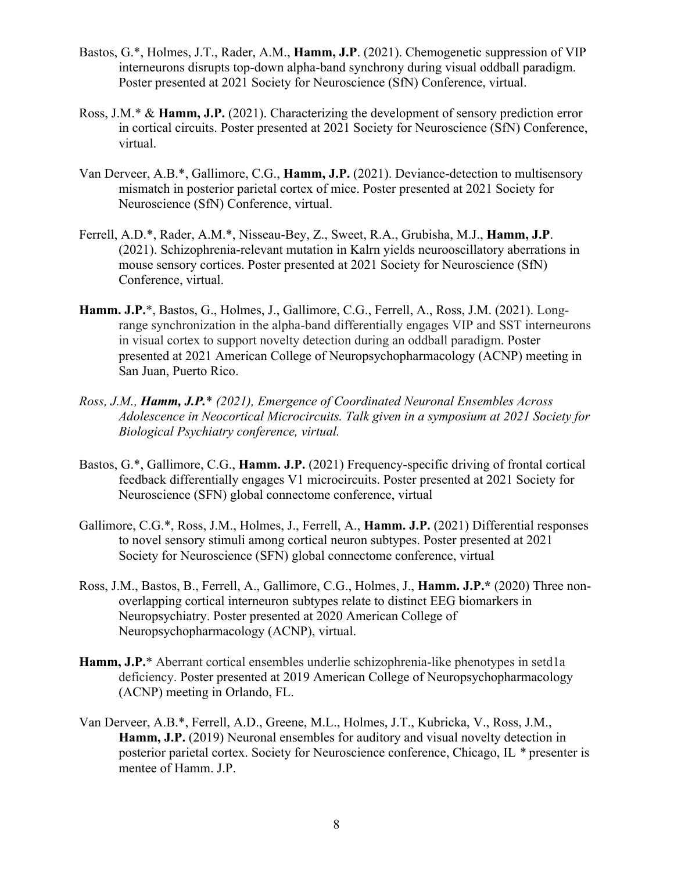- Bastos, G.\*, Holmes, J.T., Rader, A.M., **Hamm, J.P**. (2021). Chemogenetic suppression of VIP interneurons disrupts top-down alpha-band synchrony during visual oddball paradigm. Poster presented at 2021 Society for Neuroscience (SfN) Conference, virtual.
- Ross, J.M.\* & **Hamm, J.P.** (2021). Characterizing the development of sensory prediction error in cortical circuits. Poster presented at 2021 Society for Neuroscience (SfN) Conference, virtual.
- Van Derveer, A.B.\*, Gallimore, C.G., **Hamm, J.P.** (2021). Deviance-detection to multisensory mismatch in posterior parietal cortex of mice. Poster presented at 2021 Society for Neuroscience (SfN) Conference, virtual.
- Ferrell, A.D.\*, Rader, A.M.\*, Nisseau-Bey, Z., Sweet, R.A., Grubisha, M.J., **Hamm, J.P**. (2021). Schizophrenia-relevant mutation in Kalrn yields neurooscillatory aberrations in mouse sensory cortices. Poster presented at 2021 Society for Neuroscience (SfN) Conference, virtual.
- **Hamm. J.P.**\*, Bastos, G., Holmes, J., Gallimore, C.G., Ferrell, A., Ross, J.M. (2021). Longrange synchronization in the alpha-band differentially engages VIP and SST interneurons in visual cortex to support novelty detection during an oddball paradigm. Poster presented at 2021 American College of Neuropsychopharmacology (ACNP) meeting in San Juan, Puerto Rico.
- *Ross, J.M., Hamm, J.P.*\* *(2021), Emergence of Coordinated Neuronal Ensembles Across Adolescence in Neocortical Microcircuits. Talk given in a symposium at 2021 Society for Biological Psychiatry conference, virtual.*
- Bastos, G.\*, Gallimore, C.G., **Hamm. J.P.** (2021) Frequency-specific driving of frontal cortical feedback differentially engages V1 microcircuits. Poster presented at 2021 Society for Neuroscience (SFN) global connectome conference, virtual
- Gallimore, C.G.\*, Ross, J.M., Holmes, J., Ferrell, A., **Hamm. J.P.** (2021) Differential responses to novel sensory stimuli among cortical neuron subtypes. Poster presented at 2021 Society for Neuroscience (SFN) global connectome conference, virtual
- Ross, J.M., Bastos, B., Ferrell, A., Gallimore, C.G., Holmes, J., **Hamm. J.P.\*** (2020) Three nonoverlapping cortical interneuron subtypes relate to distinct EEG biomarkers in Neuropsychiatry. Poster presented at 2020 American College of Neuropsychopharmacology (ACNP), virtual.
- Hamm, J.P.<sup>\*</sup> Aberrant cortical ensembles underlie schizophrenia-like phenotypes in setd1a deficiency. Poster presented at 2019 American College of Neuropsychopharmacology (ACNP) meeting in Orlando, FL.
- Van Derveer, A.B.\*, Ferrell, A.D., Greene, M.L., Holmes, J.T., Kubricka, V., Ross, J.M., **Hamm, J.P.** (2019) Neuronal ensembles for auditory and visual novelty detection in posterior parietal cortex. Society for Neuroscience conference, Chicago, IL *\** presenter is mentee of Hamm. J.P.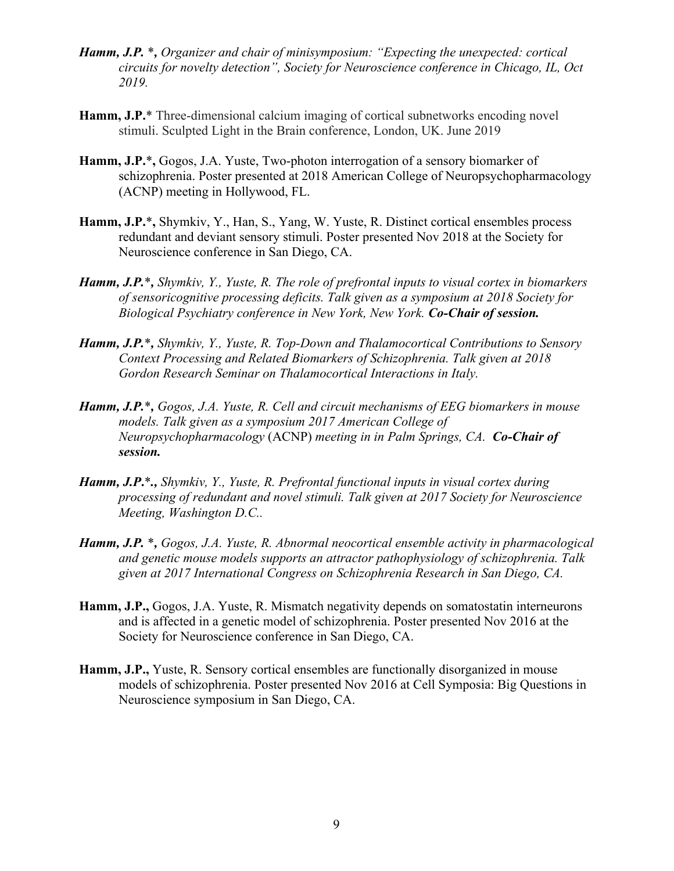- *Hamm, J.P.* \**, Organizer and chair of minisymposium: "Expecting the unexpected: cortical circuits for novelty detection", Society for Neuroscience conference in Chicago, IL, Oct 2019.*
- **Hamm, J.P.**\* Three-dimensional calcium imaging of cortical subnetworks encoding novel stimuli. Sculpted Light in the Brain conference, London, UK. June 2019
- **Hamm, J.P.**\***,** Gogos, J.A. Yuste, Two-photon interrogation of a sensory biomarker of schizophrenia. Poster presented at 2018 American College of Neuropsychopharmacology (ACNP) meeting in Hollywood, FL.
- **Hamm, J.P.**\***,** Shymkiv, Y., Han, S., Yang, W. Yuste, R. Distinct cortical ensembles process redundant and deviant sensory stimuli. Poster presented Nov 2018 at the Society for Neuroscience conference in San Diego, CA.
- *Hamm, J.P.*\**, Shymkiv, Y., Yuste, R. The role of prefrontal inputs to visual cortex in biomarkers of sensoricognitive processing deficits. Talk given as a symposium at 2018 Society for Biological Psychiatry conference in New York, New York. Co-Chair of session.*
- *Hamm, J.P.*\**, Shymkiv, Y., Yuste, R. Top-Down and Thalamocortical Contributions to Sensory Context Processing and Related Biomarkers of Schizophrenia. Talk given at 2018 Gordon Research Seminar on Thalamocortical Interactions in Italy.*
- *Hamm, J.P.*\**, Gogos, J.A. Yuste, R. Cell and circuit mechanisms of EEG biomarkers in mouse models. Talk given as a symposium 2017 American College of Neuropsychopharmacology* (ACNP) *meeting in in Palm Springs, CA. Co-Chair of session.*
- *Hamm, J.P***.**\**., Shymkiv, Y., Yuste, R. Prefrontal functional inputs in visual cortex during processing of redundant and novel stimuli. Talk given at 2017 Society for Neuroscience Meeting, Washington D.C..*
- *Hamm, J.P.* \**, Gogos, J.A. Yuste, R. Abnormal neocortical ensemble activity in pharmacological and genetic mouse models supports an attractor pathophysiology of schizophrenia. Talk given at 2017 International Congress on Schizophrenia Research in San Diego, CA.*
- **Hamm, J.P.,** Gogos, J.A. Yuste, R. Mismatch negativity depends on somatostatin interneurons and is affected in a genetic model of schizophrenia. Poster presented Nov 2016 at the Society for Neuroscience conference in San Diego, CA.
- **Hamm, J.P.,** Yuste, R. Sensory cortical ensembles are functionally disorganized in mouse models of schizophrenia. Poster presented Nov 2016 at Cell Symposia: Big Questions in Neuroscience symposium in San Diego, CA.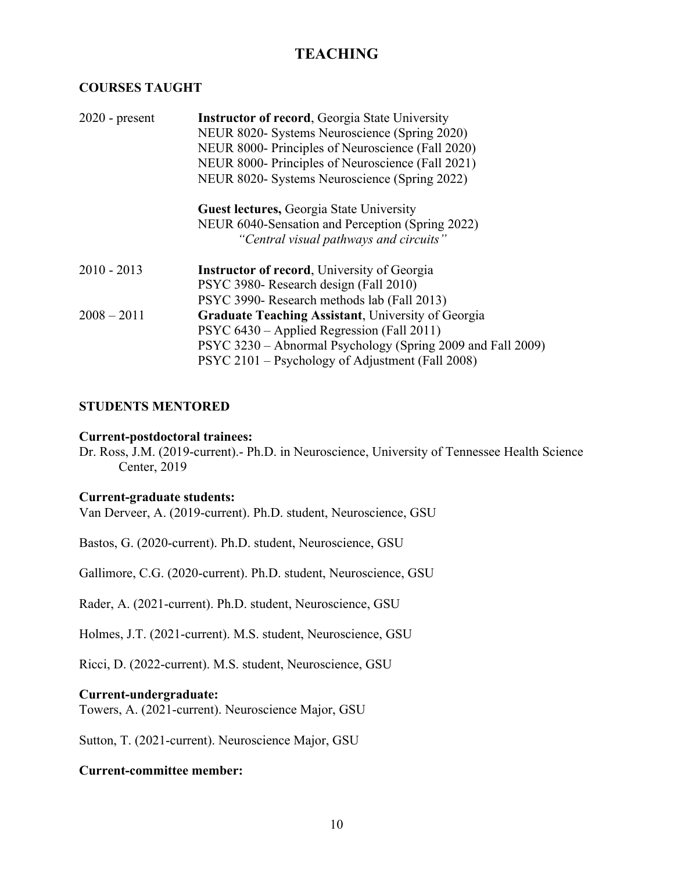# **TEACHING**

### **COURSES TAUGHT**

| $2020$ - present                       | <b>Instructor of record, Georgia State University</b><br>NEUR 8020- Systems Neuroscience (Spring 2020)<br>NEUR 8000- Principles of Neuroscience (Fall 2020) |                                                  |                                                   |
|----------------------------------------|-------------------------------------------------------------------------------------------------------------------------------------------------------------|--------------------------------------------------|---------------------------------------------------|
|                                        |                                                                                                                                                             |                                                  | NEUR 8000- Principles of Neuroscience (Fall 2021) |
|                                        |                                                                                                                                                             |                                                  | NEUR 8020- Systems Neuroscience (Spring 2022)     |
|                                        |                                                                                                                                                             | <b>Guest lectures, Georgia State University</b>  |                                                   |
|                                        |                                                                                                                                                             | NEUR 6040-Sensation and Perception (Spring 2022) |                                                   |
| "Central visual pathways and circuits" |                                                                                                                                                             |                                                  |                                                   |
| $2010 - 2013$                          | <b>Instructor of record, University of Georgia</b>                                                                                                          |                                                  |                                                   |
|                                        | PSYC 3980- Research design (Fall 2010)                                                                                                                      |                                                  |                                                   |
|                                        | PSYC 3990- Research methods lab (Fall 2013)                                                                                                                 |                                                  |                                                   |
| $2008 - 2011$                          | Graduate Teaching Assistant, University of Georgia                                                                                                          |                                                  |                                                   |
|                                        | PSYC 6430 – Applied Regression (Fall 2011)                                                                                                                  |                                                  |                                                   |
|                                        | PSYC 3230 – Abnormal Psychology (Spring 2009 and Fall 2009)                                                                                                 |                                                  |                                                   |
|                                        | PSYC 2101 – Psychology of Adjustment (Fall 2008)                                                                                                            |                                                  |                                                   |
|                                        |                                                                                                                                                             |                                                  |                                                   |

#### **STUDENTS MENTORED**

#### **Current-postdoctoral trainees:**

Dr. Ross, J.M. (2019-current).- Ph.D. in Neuroscience, University of Tennessee Health Science Center, 2019

#### **Current-graduate students:**

Van Derveer, A. (2019-current). Ph.D. student, Neuroscience, GSU

Bastos, G. (2020-current). Ph.D. student, Neuroscience, GSU

Gallimore, C.G. (2020-current). Ph.D. student, Neuroscience, GSU

Rader, A. (2021-current). Ph.D. student, Neuroscience, GSU

Holmes, J.T. (2021-current). M.S. student, Neuroscience, GSU

Ricci, D. (2022-current). M.S. student, Neuroscience, GSU

#### **Current-undergraduate:**

Towers, A. (2021-current). Neuroscience Major, GSU

Sutton, T. (2021-current). Neuroscience Major, GSU

#### **Current-committee member:**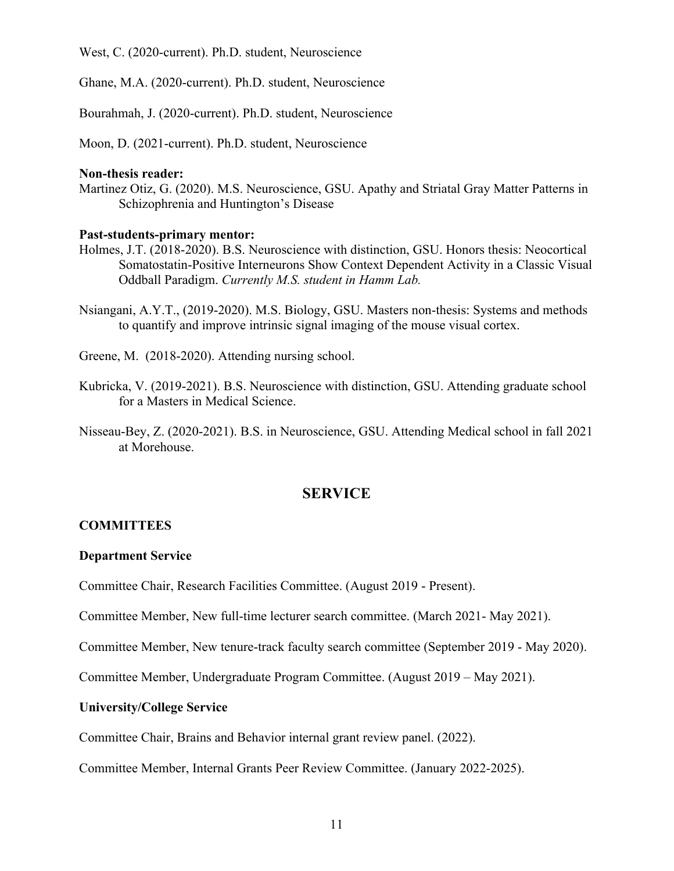West, C. (2020-current). Ph.D. student, Neuroscience

Ghane, M.A. (2020-current). Ph.D. student, Neuroscience

Bourahmah, J. (2020-current). Ph.D. student, Neuroscience

Moon, D. (2021-current). Ph.D. student, Neuroscience

#### **Non-thesis reader:**

Martinez Otiz, G. (2020). M.S. Neuroscience, GSU. Apathy and Striatal Gray Matter Patterns in Schizophrenia and Huntington's Disease

#### **Past-students-primary mentor:**

- Holmes, J.T. (2018-2020). B.S. Neuroscience with distinction, GSU. Honors thesis: Neocortical Somatostatin-Positive Interneurons Show Context Dependent Activity in a Classic Visual Oddball Paradigm. *Currently M.S. student in Hamm Lab.*
- Nsiangani, A.Y.T., (2019-2020). M.S. Biology, GSU. Masters non-thesis: Systems and methods to quantify and improve intrinsic signal imaging of the mouse visual cortex.

Greene, M. (2018-2020). Attending nursing school.

- Kubricka, V. (2019-2021). B.S. Neuroscience with distinction, GSU. Attending graduate school for a Masters in Medical Science.
- Nisseau-Bey, Z. (2020-2021). B.S. in Neuroscience, GSU. Attending Medical school in fall 2021 at Morehouse.

#### **SERVICE**

#### **COMMITTEES**

#### **Department Service**

Committee Chair, Research Facilities Committee. (August 2019 - Present).

Committee Member, New full-time lecturer search committee. (March 2021- May 2021).

Committee Member, New tenure-track faculty search committee (September 2019 - May 2020).

Committee Member, Undergraduate Program Committee. (August 2019 – May 2021).

#### **University/College Service**

Committee Chair, Brains and Behavior internal grant review panel. (2022).

Committee Member, Internal Grants Peer Review Committee. (January 2022-2025).